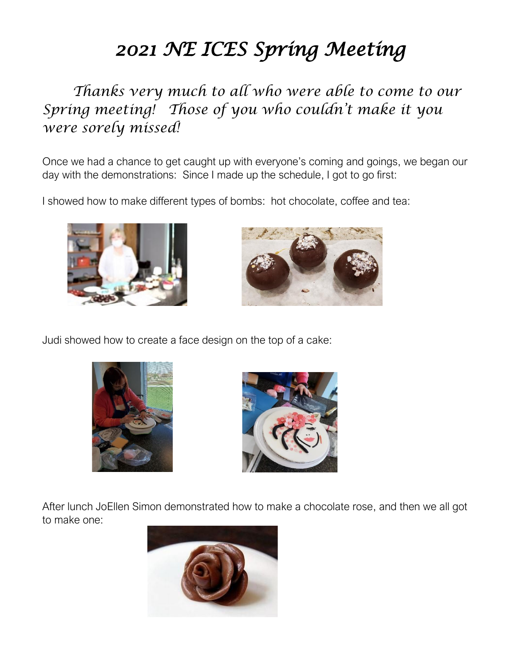## *2021 NE ICES Spring Meeting*

*Thanks very much to all who were able to come to our Spring meeting! Those of you who couldn't make it you were sorely missed!*

Once we had a chance to get caught up with everyone's coming and goings, we began our day with the demonstrations: Since I made up the schedule, I got to go first:

I showed how to make different types of bombs: hot chocolate, coffee and tea:





Judi showed how to create a face design on the top of a cake:





After lunch JoEllen Simon demonstrated how to make a chocolate rose, and then we all got to make one:

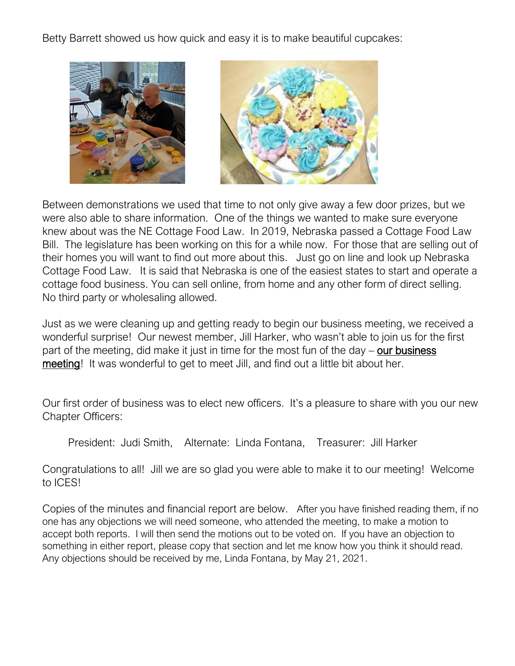Betty Barrett showed us how quick and easy it is to make beautiful cupcakes:



Between demonstrations we used that time to not only give away a few door prizes, but we were also able to share information. One of the things we wanted to make sure everyone knew about was the NE Cottage Food Law. In 2019, Nebraska passed a Cottage Food Law Bill. The legislature has been working on this for a while now. For those that are selling out of their homes you will want to find out more about this. Just go on line and look up Nebraska Cottage Food Law. It is said that Nebraska is one of the easiest states to start and operate a cottage food business. You can sell online, from home and any other form of direct selling. No third party or wholesaling allowed.

Just as we were cleaning up and getting ready to begin our business meeting, we received a wonderful surprise! Our newest member, Jill Harker, who wasn't able to join us for the first part of the meeting, did make it just in time for the most fun of the day  $-$  our business meeting! It was wonderful to get to meet Jill, and find out a little bit about her.

Our first order of business was to elect new officers. It's a pleasure to share with you our new Chapter Officers:

President: Judi Smith, Alternate: Linda Fontana, Treasurer: Jill Harker

Congratulations to all! Jill we are so glad you were able to make it to our meeting! Welcome to ICES!

Copies of the minutes and financial report are below. After you have finished reading them, if no one has any objections we will need someone, who attended the meeting, to make a motion to accept both reports. I will then send the motions out to be voted on. If you have an objection to something in either report, please copy that section and let me know how you think it should read. Any objections should be received by me, Linda Fontana, by May 21, 2021.